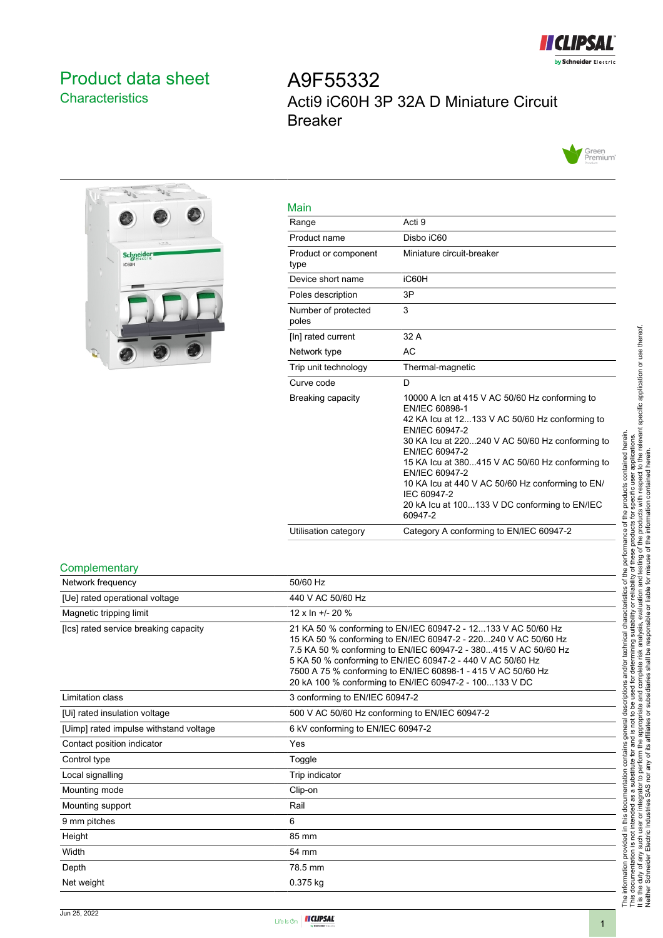

## <span id="page-0-0"></span>Product data sheet **Characteristics**

# A9F55332 Acti9 iC60H 3P 32A D Miniature Circuit Breaker





| Main                         |                                                                                                                                                                                                                                                                                                                                                                                                               |
|------------------------------|---------------------------------------------------------------------------------------------------------------------------------------------------------------------------------------------------------------------------------------------------------------------------------------------------------------------------------------------------------------------------------------------------------------|
| Range                        | Acti 9                                                                                                                                                                                                                                                                                                                                                                                                        |
| Product name                 | Disbo iC60                                                                                                                                                                                                                                                                                                                                                                                                    |
| Product or component<br>type | Miniature circuit-breaker                                                                                                                                                                                                                                                                                                                                                                                     |
| Device short name            | iC60H                                                                                                                                                                                                                                                                                                                                                                                                         |
| Poles description            | 3P                                                                                                                                                                                                                                                                                                                                                                                                            |
| Number of protected<br>poles | 3                                                                                                                                                                                                                                                                                                                                                                                                             |
| [In] rated current           | 32 A                                                                                                                                                                                                                                                                                                                                                                                                          |
| Network type                 | <b>AC</b>                                                                                                                                                                                                                                                                                                                                                                                                     |
| Trip unit technology         | Thermal-magnetic                                                                                                                                                                                                                                                                                                                                                                                              |
| Curve code                   | D                                                                                                                                                                                                                                                                                                                                                                                                             |
| Breaking capacity            | 10000 A Icn at 415 V AC 50/60 Hz conforming to<br>EN/IEC 60898-1<br>42 KA lcu at 12133 V AC 50/60 Hz conforming to<br>EN/IEC 60947-2<br>30 KA Icu at 220240 V AC 50/60 Hz conforming to<br>EN/IEC 60947-2<br>15 KA Icu at 380415 V AC 50/60 Hz conforming to<br>EN/IEC 60947-2<br>10 KA lcu at 440 V AC 50/60 Hz conforming to EN/<br>IEC 60947-2<br>20 kA Icu at 100133 V DC conforming to EN/IEC<br>60947-2 |
| Utilisation category         | Category A conforming to EN/IEC 60947-2                                                                                                                                                                                                                                                                                                                                                                       |

#### **Complementary**

| 50/60 Hz                                                                                                                                                                                                                                                                                                                                                                                   |
|--------------------------------------------------------------------------------------------------------------------------------------------------------------------------------------------------------------------------------------------------------------------------------------------------------------------------------------------------------------------------------------------|
| 440 V AC 50/60 Hz                                                                                                                                                                                                                                                                                                                                                                          |
| 12 x In $+/- 20$ %                                                                                                                                                                                                                                                                                                                                                                         |
| 21 KA 50 % conforming to EN/IEC 60947-2 - 12133 V AC 50/60 Hz<br>15 KA 50 % conforming to EN/IEC 60947-2 - 220240 V AC 50/60 Hz<br>7.5 KA 50 % conforming to EN/IEC 60947-2 - 380415 V AC 50/60 Hz<br>5 KA 50 % conforming to EN/IEC 60947-2 - 440 V AC 50/60 Hz<br>7500 A 75 % conforming to EN/IEC 60898-1 - 415 V AC 50/60 Hz<br>20 kA 100 % conforming to EN/IEC 60947-2 - 100133 V DC |
| 3 conforming to EN/IEC 60947-2                                                                                                                                                                                                                                                                                                                                                             |
| 500 V AC 50/60 Hz conforming to EN/IEC 60947-2                                                                                                                                                                                                                                                                                                                                             |
| 6 kV conforming to EN/IEC 60947-2                                                                                                                                                                                                                                                                                                                                                          |
| Yes                                                                                                                                                                                                                                                                                                                                                                                        |
| Toggle                                                                                                                                                                                                                                                                                                                                                                                     |
| Trip indicator                                                                                                                                                                                                                                                                                                                                                                             |
| Clip-on                                                                                                                                                                                                                                                                                                                                                                                    |
| Rail                                                                                                                                                                                                                                                                                                                                                                                       |
| 6                                                                                                                                                                                                                                                                                                                                                                                          |
| 85 mm                                                                                                                                                                                                                                                                                                                                                                                      |
| 54 mm                                                                                                                                                                                                                                                                                                                                                                                      |
| 78.5 mm                                                                                                                                                                                                                                                                                                                                                                                    |
| 0.375 kg                                                                                                                                                                                                                                                                                                                                                                                   |
|                                                                                                                                                                                                                                                                                                                                                                                            |